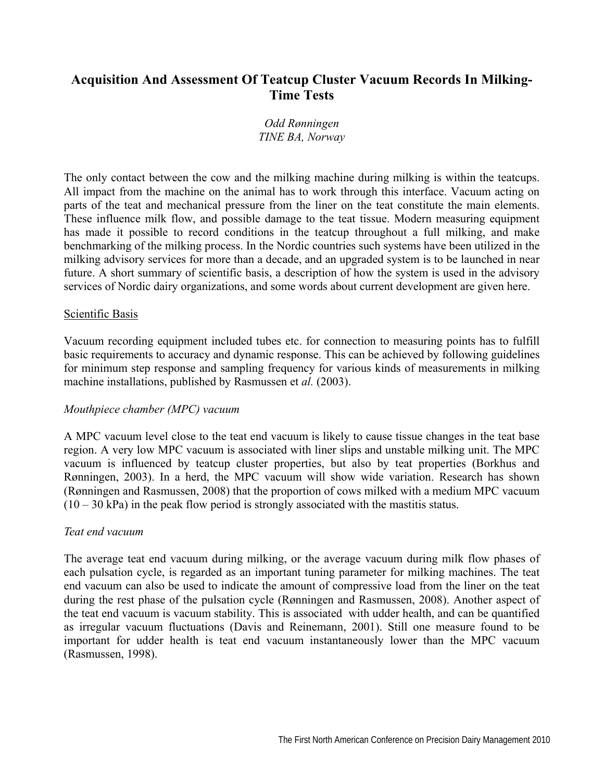# **Acquisition And Assessment Of Teatcup Cluster Vacuum Records In Milking-Time Tests**

# *Odd Rønningen TINE BA, Norway*

The only contact between the cow and the milking machine during milking is within the teatcups. All impact from the machine on the animal has to work through this interface. Vacuum acting on parts of the teat and mechanical pressure from the liner on the teat constitute the main elements. These influence milk flow, and possible damage to the teat tissue. Modern measuring equipment has made it possible to record conditions in the teatcup throughout a full milking, and make benchmarking of the milking process. In the Nordic countries such systems have been utilized in the milking advisory services for more than a decade, and an upgraded system is to be launched in near future. A short summary of scientific basis, a description of how the system is used in the advisory services of Nordic dairy organizations, and some words about current development are given here.

### Scientific Basis

Vacuum recording equipment included tubes etc. for connection to measuring points has to fulfill basic requirements to accuracy and dynamic response. This can be achieved by following guidelines for minimum step response and sampling frequency for various kinds of measurements in milking machine installations, published by Rasmussen et *al.* (2003).

# *Mouthpiece chamber (MPC) vacuum*

A MPC vacuum level close to the teat end vacuum is likely to cause tissue changes in the teat base region. A very low MPC vacuum is associated with liner slips and unstable milking unit. The MPC vacuum is influenced by teatcup cluster properties, but also by teat properties (Borkhus and Rønningen, 2003). In a herd, the MPC vacuum will show wide variation. Research has shown (Rønningen and Rasmussen, 2008) that the proportion of cows milked with a medium MPC vacuum  $(10 - 30 \text{ kPa})$  in the peak flow period is strongly associated with the mastitis status.

# *Teat end vacuum*

The average teat end vacuum during milking, or the average vacuum during milk flow phases of each pulsation cycle, is regarded as an important tuning parameter for milking machines. The teat end vacuum can also be used to indicate the amount of compressive load from the liner on the teat during the rest phase of the pulsation cycle (Rønningen and Rasmussen, 2008). Another aspect of the teat end vacuum is vacuum stability. This is associated with udder health, and can be quantified as irregular vacuum fluctuations (Davis and Reinemann, 2001). Still one measure found to be important for udder health is teat end vacuum instantaneously lower than the MPC vacuum (Rasmussen, 1998).